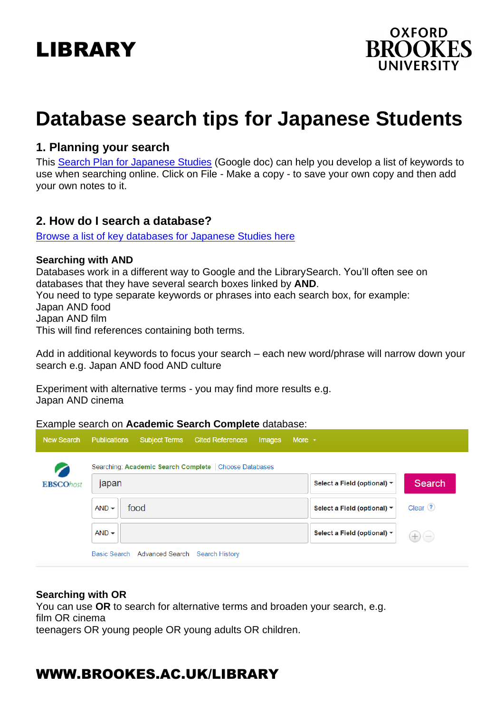# LIBRARY



# **Database search tips for Japanese Students**

## **1. Planning your search**

This Search Plan [for Japanese Studies](https://docs.google.com/document/d/1hAlrDDqu5PT_prccq13pKtqL8yOS9IUZh3V3zoO9iEg/edit?usp=sharing) (Google doc) can help you develop a list of keywords to use when searching online. Click on File - Make a copy - to save your own copy and then add your own notes to it.

## **2. How do I search a database?**

[Browse a list of key databases for Japanese Studies](https://www.brookes.ac.uk/library/resources-and-services/course-resource-help/japanese-studies) her[e](https://www.brookes.ac.uk/library/resources-and-services/course-resource-help/japanese-studies)

### **Searching with AND**

Databases work in a different way to Google and the LibrarySearch. You'll often see on databases that they have several search boxes linked by **AND**. You need to type separate keywords or phrases into each search box, for example: Japan AND food Japan AND film This will find references containing both terms.

Add in additional keywords to focus your search – each new word/phrase will narrow down your search e.g. Japan AND food AND culture

Experiment with alternative terms - you may find more results e.g. Japan AND cinema

Example search on **Academic Search Complete** database:

| <b>New Search</b> | <b>Publications</b><br><b>Subject Terms</b><br><b>Cited References</b><br>More $\sqrt{ }$<br>Images |                                                     |  |  |  |  |  |
|-------------------|-----------------------------------------------------------------------------------------------------|-----------------------------------------------------|--|--|--|--|--|
|                   | Searching: Academic Search Complete   Choose Databases                                              |                                                     |  |  |  |  |  |
| <b>EBSCOhost</b>  | japan                                                                                               | Search<br>Select a Field (optional) ▼               |  |  |  |  |  |
|                   | food<br>$AND -$                                                                                     | Clear <sup>(?)</sup><br>Select a Field (optional) ▼ |  |  |  |  |  |
|                   | $AND -$                                                                                             | Select a Field (optional) ▼                         |  |  |  |  |  |
|                   | Basic Search Advanced Search<br><b>Search History</b>                                               |                                                     |  |  |  |  |  |

### **Searching with OR**

You can use **OR** to search for alternative terms and broaden your search, e.g. film OR cinema teenagers OR young people OR young adults OR children.

# WWW.BROOKES.AC.UK/LIBRARY